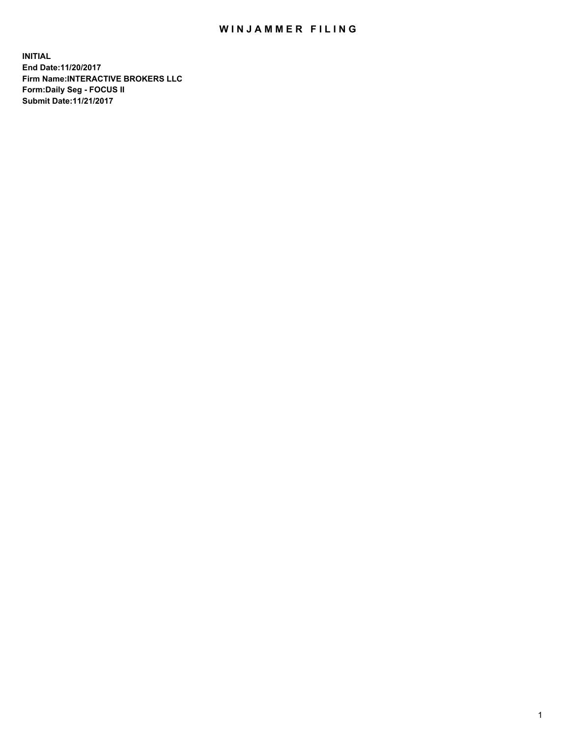## WIN JAMMER FILING

**INITIAL End Date:11/20/2017 Firm Name:INTERACTIVE BROKERS LLC Form:Daily Seg - FOCUS II Submit Date:11/21/2017**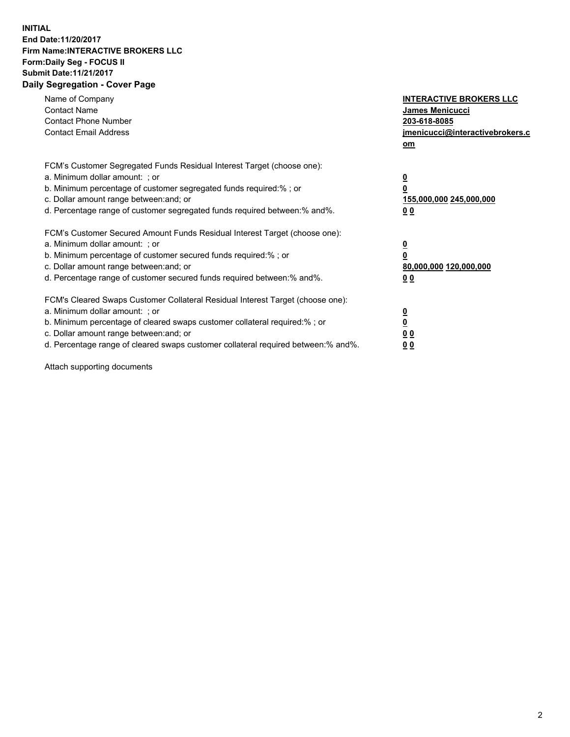## **INITIAL End Date:11/20/2017 Firm Name:INTERACTIVE BROKERS LLC Form:Daily Seg - FOCUS II Submit Date:11/21/2017 Daily Segregation - Cover Page**

| Name of Company<br><b>Contact Name</b><br><b>Contact Phone Number</b><br><b>Contact Email Address</b>                                                                                                                                                                                                                          | <b>INTERACTIVE BROKERS LLC</b><br><b>James Menicucci</b><br>203-618-8085<br>jmenicucci@interactivebrokers.c<br>om |
|--------------------------------------------------------------------------------------------------------------------------------------------------------------------------------------------------------------------------------------------------------------------------------------------------------------------------------|-------------------------------------------------------------------------------------------------------------------|
| FCM's Customer Segregated Funds Residual Interest Target (choose one):<br>a. Minimum dollar amount: ; or<br>b. Minimum percentage of customer segregated funds required:%; or<br>c. Dollar amount range between: and; or<br>d. Percentage range of customer segregated funds required between:% and%.                          | $\overline{\mathbf{0}}$<br>0<br>155,000,000 245,000,000<br>00                                                     |
| FCM's Customer Secured Amount Funds Residual Interest Target (choose one):<br>a. Minimum dollar amount: ; or<br>b. Minimum percentage of customer secured funds required:%; or<br>c. Dollar amount range between: and; or<br>d. Percentage range of customer secured funds required between: % and %.                          | $\overline{\mathbf{0}}$<br>0<br>80,000,000 120,000,000<br>0 <sub>0</sub>                                          |
| FCM's Cleared Swaps Customer Collateral Residual Interest Target (choose one):<br>a. Minimum dollar amount: ; or<br>b. Minimum percentage of cleared swaps customer collateral required:% ; or<br>c. Dollar amount range between: and; or<br>d. Percentage range of cleared swaps customer collateral required between:% and%. | $\overline{\mathbf{0}}$<br>$\overline{\mathbf{0}}$<br>0 <sub>0</sub><br><u>00</u>                                 |

Attach supporting documents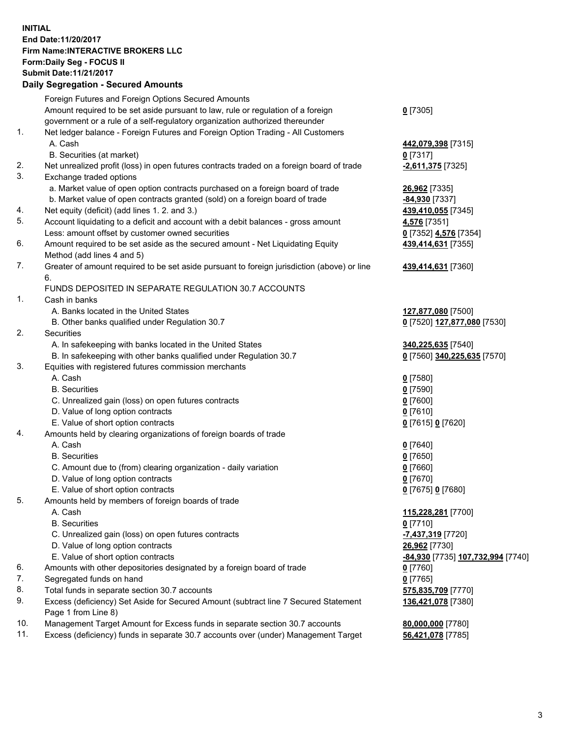## **INITIAL End Date:11/20/2017 Firm Name:INTERACTIVE BROKERS LLC Form:Daily Seg - FOCUS II Submit Date:11/21/2017 Daily Segregation - Secured Amounts**

|     | Daily Jegiegation - Jeculed Aniounts                                                                       |                                          |
|-----|------------------------------------------------------------------------------------------------------------|------------------------------------------|
|     | Foreign Futures and Foreign Options Secured Amounts                                                        |                                          |
|     | Amount required to be set aside pursuant to law, rule or regulation of a foreign                           | $0$ [7305]                               |
|     | government or a rule of a self-regulatory organization authorized thereunder                               |                                          |
| 1.  | Net ledger balance - Foreign Futures and Foreign Option Trading - All Customers                            |                                          |
|     | A. Cash                                                                                                    | 442,079,398 [7315]                       |
|     | B. Securities (at market)                                                                                  | $0$ [7317]                               |
| 2.  | Net unrealized profit (loss) in open futures contracts traded on a foreign board of trade                  | -2,611,375 [7325]                        |
| 3.  | Exchange traded options                                                                                    |                                          |
|     | a. Market value of open option contracts purchased on a foreign board of trade                             | 26,962 [7335]                            |
|     | b. Market value of open contracts granted (sold) on a foreign board of trade                               | -84,930 [7337]                           |
| 4.  | Net equity (deficit) (add lines 1.2. and 3.)                                                               | 439,410,055 [7345]                       |
| 5.  | Account liquidating to a deficit and account with a debit balances - gross amount                          | 4,576 [7351]                             |
|     | Less: amount offset by customer owned securities                                                           | 0 [7352] 4,576 [7354]                    |
| 6.  | Amount required to be set aside as the secured amount - Net Liquidating Equity                             | 439,414,631 [7355]                       |
|     | Method (add lines 4 and 5)                                                                                 |                                          |
| 7.  | Greater of amount required to be set aside pursuant to foreign jurisdiction (above) or line                | 439,414,631 [7360]                       |
|     | 6.                                                                                                         |                                          |
|     | FUNDS DEPOSITED IN SEPARATE REGULATION 30.7 ACCOUNTS                                                       |                                          |
| 1.  | Cash in banks                                                                                              |                                          |
|     | A. Banks located in the United States                                                                      | 127,877,080 [7500]                       |
|     | B. Other banks qualified under Regulation 30.7                                                             | 0 [7520] 127,877,080 [7530]              |
| 2.  | Securities                                                                                                 |                                          |
|     | A. In safekeeping with banks located in the United States                                                  | 340,225,635 [7540]                       |
|     | B. In safekeeping with other banks qualified under Regulation 30.7                                         | 0 [7560] 340,225,635 [7570]              |
| 3.  | Equities with registered futures commission merchants                                                      |                                          |
|     | A. Cash                                                                                                    | $0$ [7580]                               |
|     | <b>B.</b> Securities                                                                                       | $0$ [7590]                               |
|     | C. Unrealized gain (loss) on open futures contracts                                                        | $0$ [7600]                               |
|     | D. Value of long option contracts                                                                          | $0$ [7610]                               |
|     | E. Value of short option contracts                                                                         | 0 [7615] 0 [7620]                        |
| 4.  | Amounts held by clearing organizations of foreign boards of trade                                          |                                          |
|     | A. Cash                                                                                                    | $0$ [7640]                               |
|     | <b>B.</b> Securities                                                                                       | $0$ [7650]                               |
|     | C. Amount due to (from) clearing organization - daily variation                                            | $0$ [7660]                               |
|     | D. Value of long option contracts                                                                          | $0$ [7670]                               |
|     | E. Value of short option contracts                                                                         | 0 [7675] 0 [7680]                        |
| 5.  | Amounts held by members of foreign boards of trade                                                         |                                          |
|     | A. Cash                                                                                                    | 115,228,281 [7700]                       |
|     | <b>B.</b> Securities                                                                                       | $0$ [7710]                               |
|     | C. Unrealized gain (loss) on open futures contracts                                                        | -7,437,319 [7720]                        |
|     | D. Value of long option contracts                                                                          | 26,962 [7730]                            |
|     | E. Value of short option contracts                                                                         | <u>-84,930</u> [7735] 107,732,994 [7740] |
| 6.  | Amounts with other depositories designated by a foreign board of trade                                     | 0 [7760]                                 |
| 7.  | Segregated funds on hand                                                                                   | $0$ [7765]                               |
| 8.  | Total funds in separate section 30.7 accounts                                                              | 575,835,709 [7770]                       |
| 9.  | Excess (deficiency) Set Aside for Secured Amount (subtract line 7 Secured Statement<br>Page 1 from Line 8) | 136,421,078 [7380]                       |
| 10. | Management Target Amount for Excess funds in separate section 30.7 accounts                                | 80,000,000 [7780]                        |
| 11. | Excess (deficiency) funds in separate 30.7 accounts over (under) Management Target                         | 56,421,078 [7785]                        |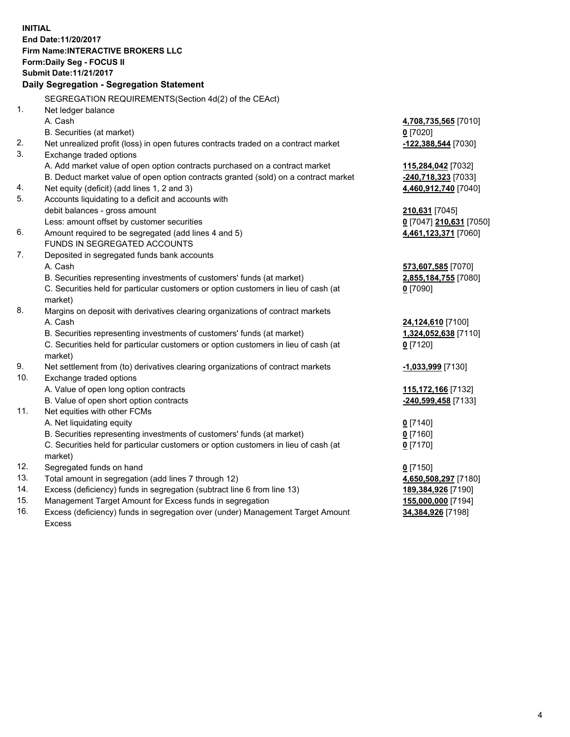**INITIAL End Date:11/20/2017 Firm Name:INTERACTIVE BROKERS LLC Form:Daily Seg - FOCUS II Submit Date:11/21/2017 Daily Segregation - Segregation Statement** SEGREGATION REQUIREMENTS(Section 4d(2) of the CEAct) 1. Net ledger balance A. Cash **4,708,735,565** [7010] B. Securities (at market) **0** [7020] 2. Net unrealized profit (loss) in open futures contracts traded on a contract market **-122,388,544** [7030] 3. Exchange traded options A. Add market value of open option contracts purchased on a contract market **115,284,042** [7032] B. Deduct market value of open option contracts granted (sold) on a contract market **-240,718,323** [7033] 4. Net equity (deficit) (add lines 1, 2 and 3) **4,460,912,740** [7040] 5. Accounts liquidating to a deficit and accounts with debit balances - gross amount **210,631** [7045] Less: amount offset by customer securities **0** [7047] **210,631** [7050] 6. Amount required to be segregated (add lines 4 and 5) **4,461,123,371** [7060] FUNDS IN SEGREGATED ACCOUNTS 7. Deposited in segregated funds bank accounts A. Cash **573,607,585** [7070] B. Securities representing investments of customers' funds (at market) **2,855,184,755** [7080] C. Securities held for particular customers or option customers in lieu of cash (at market) **0** [7090] 8. Margins on deposit with derivatives clearing organizations of contract markets A. Cash **24,124,610** [7100] B. Securities representing investments of customers' funds (at market) **1,324,052,638** [7110] C. Securities held for particular customers or option customers in lieu of cash (at market) **0** [7120] 9. Net settlement from (to) derivatives clearing organizations of contract markets **-1,033,999** [7130] 10. Exchange traded options A. Value of open long option contracts **115,172,166** [7132] B. Value of open short option contracts **-240,599,458** [7133] 11. Net equities with other FCMs A. Net liquidating equity **0** [7140] B. Securities representing investments of customers' funds (at market) **0** [7160] C. Securities held for particular customers or option customers in lieu of cash (at market) **0** [7170] 12. Segregated funds on hand **0** [7150] 13. Total amount in segregation (add lines 7 through 12) **4,650,508,297** [7180] 14. Excess (deficiency) funds in segregation (subtract line 6 from line 13) **189,384,926** [7190] 15. Management Target Amount for Excess funds in segregation **155,000,000** [7194] **34,384,926** [7198]

16. Excess (deficiency) funds in segregation over (under) Management Target Amount Excess